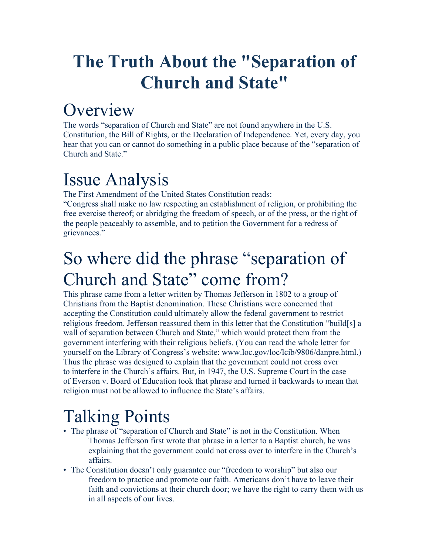# **The Truth About the "Separation of Church and State"**

#### **Overview**

The words "separation of Church and State" are not found anywhere in the U.S. Constitution, the Bill of Rights, or the Declaration of Independence. Yet, every day, you hear that you can or cannot do something in a public place because of the "separation of Church and State."

## Issue Analysis

The First Amendment of the United States Constitution reads:

"Congress shall make no law respecting an establishment of religion, or prohibiting the free exercise thereof; or abridging the freedom of speech, or of the press, or the right of the people peaceably to assemble, and to petition the Government for a redress of grievances."

### So where did the phrase "separation of Church and State" come from?

This phrase came from a letter written by Thomas Jefferson in 1802 to a group of Christians from the Baptist denomination. These Christians were concerned that accepting the Constitution could ultimately allow the federal government to restrict religious freedom. Jefferson reassured them in this letter that the Constitution "build[s] a wall of separation between Church and State," which would protect them from the government interfering with their religious beliefs. (You can read the whole letter for yourself on the Library of Congress's website: [www.loc.gov/loc/lcib/9806/danpre.html.](http://www.loc.gov/loc/lcib/9806/danpre.html)) Thus the phrase was designed to explain that the government could not cross over to interfere in the Church's affairs. But, in 1947, the U.S. Supreme Court in the case of Everson v. Board of Education took that phrase and turned it backwards to mean that religion must not be allowed to influence the State's affairs.

# Talking Points

- The phrase of "separation of Church and State" is not in the Constitution. When Thomas Jefferson first wrote that phrase in a letter to a Baptist church, he was explaining that the government could not cross over to interfere in the Church's affairs.
- The Constitution doesn't only guarantee our "freedom to worship" but also our freedom to practice and promote our faith. Americans don't have to leave their faith and convictions at their church door; we have the right to carry them with us in all aspects of our lives.